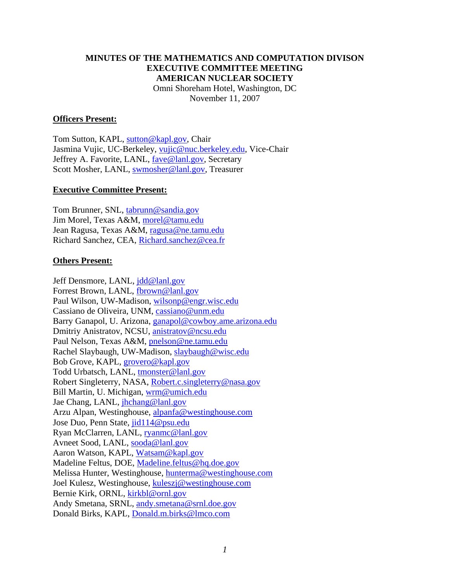#### **MINUTES OF THE MATHEMATICS AND COMPUTATION DIVISON EXECUTIVE COMMITTEE MEETING AMERICAN NUCLEAR SOCIETY**  Omni Shoreham Hotel, Washington, DC November 11, 2007

#### **Officers Present:**

Tom Sutton, KAPL, sutton@kapl.gov, Chair Jasmina Vujic, UC-Berkeley, vujic@nuc.berkeley.edu, Vice-Chair Jeffrey A. Favorite, LANL, fave@lanl.gov, Secretary Scott Mosher, LANL, swmosher@lanl.gov, Treasurer

#### **Executive Committee Present:**

Tom Brunner, SNL, tabrunn@sandia.gov Jim Morel, Texas A&M, morel@tamu.edu Jean Ragusa, Texas A&M, ragusa@ne.tamu.edu Richard Sanchez, CEA, Richard.sanchez@cea.fr

#### **Others Present:**

Jeff Densmore, LANL, jdd@lanl.gov Forrest Brown, LANL, fbrown@lanl.gov Paul Wilson, UW-Madison, wilsonp@engr.wisc.edu Cassiano de Oliveira, UNM, cassiano@unm.edu Barry Ganapol, U. Arizona, ganapol@cowboy.ame.arizona.edu Dmitriy Anistratov, NCSU, anistratov@ncsu.edu Paul Nelson, Texas A&M, pnelson@ne.tamu.edu Rachel Slaybaugh, UW-Madison, slaybaugh@wisc.edu Bob Grove, KAPL, grovero@kapl.gov Todd Urbatsch, LANL, tmonster@lanl.gov Robert Singleterry, NASA, Robert.c.singleterry@nasa.gov Bill Martin, U. Michigan, wrm@umich.edu Jae Chang, LANL, jhchang@lanl.gov Arzu Alpan, Westinghouse, alpanfa@westinghouse.com Jose Duo, Penn State, jid114@psu.edu Ryan McClarren, LANL, ryanmc@lanl.gov Avneet Sood, LANL, sooda@lanl.gov Aaron Watson, KAPL, Watsam@kapl.gov Madeline Feltus, DOE, Madeline.feltus@hq.doe.gov Melissa Hunter, Westinghouse, hunterma@westinghouse.com Joel Kulesz, Westinghouse, kuleszj@westinghouse.com Bernie Kirk, ORNL, kirkbl@ornl.gov Andy Smetana, SRNL, andy.smetana@srnl.doe.gov Donald Birks, KAPL, Donald.m.birks@lmco.com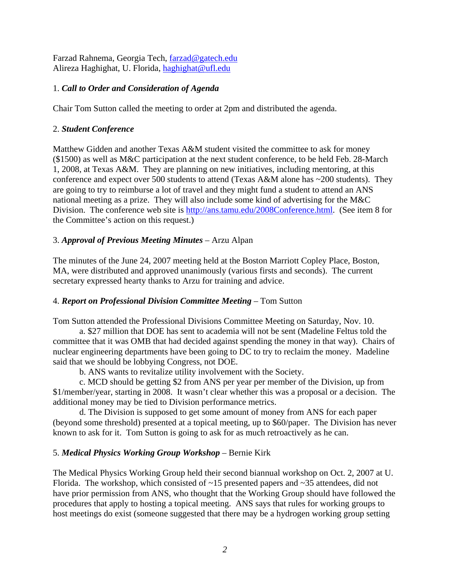Farzad Rahnema, Georgia Tech, farzad@gatech.edu Alireza Haghighat, U. Florida, haghighat@ufl.edu

## 1. *Call to Order and Consideration of Agenda*

Chair Tom Sutton called the meeting to order at 2pm and distributed the agenda.

## 2. *Student Conference*

Matthew Gidden and another Texas A&M student visited the committee to ask for money (\$1500) as well as M&C participation at the next student conference, to be held Feb. 28-March 1, 2008, at Texas A&M. They are planning on new initiatives, including mentoring, at this conference and expect over 500 students to attend (Texas A&M alone has ~200 students). They are going to try to reimburse a lot of travel and they might fund a student to attend an ANS national meeting as a prize. They will also include some kind of advertising for the M&C Division. The conference web site is http://ans.tamu.edu/2008Conference.html. (See item 8 for the Committee's action on this request.)

## 3. *Approval of Previous Meeting Minutes* – Arzu Alpan

The minutes of the June 24, 2007 meeting held at the Boston Marriott Copley Place, Boston, MA, were distributed and approved unanimously (various firsts and seconds). The current secretary expressed hearty thanks to Arzu for training and advice.

## 4. *Report on Professional Division Committee Meeting* – Tom Sutton

Tom Sutton attended the Professional Divisions Committee Meeting on Saturday, Nov. 10.

 a. \$27 million that DOE has sent to academia will not be sent (Madeline Feltus told the committee that it was OMB that had decided against spending the money in that way). Chairs of nuclear engineering departments have been going to DC to try to reclaim the money. Madeline said that we should be lobbying Congress, not DOE.

b. ANS wants to revitalize utility involvement with the Society.

 c. MCD should be getting \$2 from ANS per year per member of the Division, up from \$1/member/year, starting in 2008. It wasn't clear whether this was a proposal or a decision. The additional money may be tied to Division performance metrics.

 d. The Division is supposed to get some amount of money from ANS for each paper (beyond some threshold) presented at a topical meeting, up to \$60/paper. The Division has never known to ask for it. Tom Sutton is going to ask for as much retroactively as he can.

## 5. *Medical Physics Working Group Workshop* – Bernie Kirk

The Medical Physics Working Group held their second biannual workshop on Oct. 2, 2007 at U. Florida. The workshop, which consisted of  $\sim$ 15 presented papers and  $\sim$ 35 attendees, did not have prior permission from ANS, who thought that the Working Group should have followed the procedures that apply to hosting a topical meeting. ANS says that rules for working groups to host meetings do exist (someone suggested that there may be a hydrogen working group setting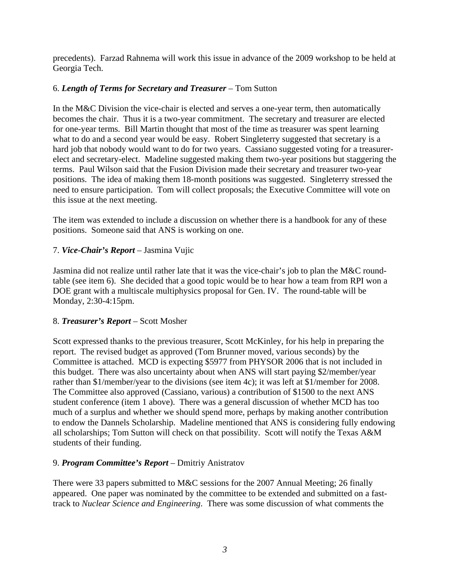precedents). Farzad Rahnema will work this issue in advance of the 2009 workshop to be held at Georgia Tech.

## 6. *Length of Terms for Secretary and Treasurer* – Tom Sutton

In the M&C Division the vice-chair is elected and serves a one-year term, then automatically becomes the chair. Thus it is a two-year commitment. The secretary and treasurer are elected for one-year terms. Bill Martin thought that most of the time as treasurer was spent learning what to do and a second year would be easy. Robert Singleterry suggested that secretary is a hard job that nobody would want to do for two years. Cassiano suggested voting for a treasurerelect and secretary-elect. Madeline suggested making them two-year positions but staggering the terms. Paul Wilson said that the Fusion Division made their secretary and treasurer two-year positions. The idea of making them 18-month positions was suggested. Singleterry stressed the need to ensure participation. Tom will collect proposals; the Executive Committee will vote on this issue at the next meeting.

The item was extended to include a discussion on whether there is a handbook for any of these positions. Someone said that ANS is working on one.

## 7. *Vice-Chair's Report* – Jasmina Vujic

Jasmina did not realize until rather late that it was the vice-chair's job to plan the M&C roundtable (see item 6). She decided that a good topic would be to hear how a team from RPI won a DOE grant with a multiscale multiphysics proposal for Gen. IV. The round-table will be Monday, 2:30-4:15pm.

## 8. *Treasurer's Report* – Scott Mosher

Scott expressed thanks to the previous treasurer, Scott McKinley, for his help in preparing the report. The revised budget as approved (Tom Brunner moved, various seconds) by the Committee is attached. MCD is expecting \$5977 from PHYSOR 2006 that is not included in this budget. There was also uncertainty about when ANS will start paying \$2/member/year rather than \$1/member/year to the divisions (see item 4c); it was left at \$1/member for 2008. The Committee also approved (Cassiano, various) a contribution of \$1500 to the next ANS student conference (item 1 above). There was a general discussion of whether MCD has too much of a surplus and whether we should spend more, perhaps by making another contribution to endow the Dannels Scholarship. Madeline mentioned that ANS is considering fully endowing all scholarships; Tom Sutton will check on that possibility. Scott will notify the Texas A&M students of their funding.

## 9. *Program Committee's Report* – Dmitriy Anistratov

There were 33 papers submitted to M&C sessions for the 2007 Annual Meeting; 26 finally appeared. One paper was nominated by the committee to be extended and submitted on a fasttrack to *Nuclear Science and Engineering*. There was some discussion of what comments the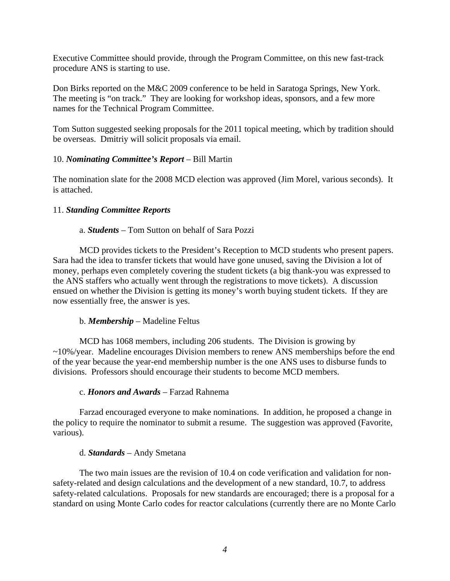Executive Committee should provide, through the Program Committee, on this new fast-track procedure ANS is starting to use.

Don Birks reported on the M&C 2009 conference to be held in Saratoga Springs, New York. The meeting is "on track." They are looking for workshop ideas, sponsors, and a few more names for the Technical Program Committee.

Tom Sutton suggested seeking proposals for the 2011 topical meeting, which by tradition should be overseas. Dmitriy will solicit proposals via email.

### 10. *Nominating Committee's Report* – Bill Martin

The nomination slate for the 2008 MCD election was approved (Jim Morel, various seconds). It is attached.

### 11. *Standing Committee Reports*

### a. *Students* – Tom Sutton on behalf of Sara Pozzi

 MCD provides tickets to the President's Reception to MCD students who present papers. Sara had the idea to transfer tickets that would have gone unused, saving the Division a lot of money, perhaps even completely covering the student tickets (a big thank-you was expressed to the ANS staffers who actually went through the registrations to move tickets). A discussion ensued on whether the Division is getting its money's worth buying student tickets. If they are now essentially free, the answer is yes.

#### b. *Membership* – Madeline Feltus

 MCD has 1068 members, including 206 students. The Division is growing by ~10%/year. Madeline encourages Division members to renew ANS memberships before the end of the year because the year-end membership number is the one ANS uses to disburse funds to divisions. Professors should encourage their students to become MCD members.

#### c. *Honors and Awards* – Farzad Rahnema

 Farzad encouraged everyone to make nominations. In addition, he proposed a change in the policy to require the nominator to submit a resume. The suggestion was approved (Favorite, various).

#### d. *Standards* – Andy Smetana

 The two main issues are the revision of 10.4 on code verification and validation for nonsafety-related and design calculations and the development of a new standard, 10.7, to address safety-related calculations. Proposals for new standards are encouraged; there is a proposal for a standard on using Monte Carlo codes for reactor calculations (currently there are no Monte Carlo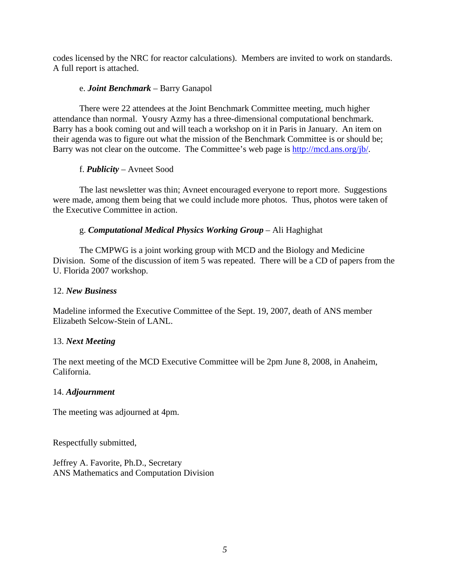codes licensed by the NRC for reactor calculations). Members are invited to work on standards. A full report is attached.

### e. *Joint Benchmark* – Barry Ganapol

 There were 22 attendees at the Joint Benchmark Committee meeting, much higher attendance than normal. Yousry Azmy has a three-dimensional computational benchmark. Barry has a book coming out and will teach a workshop on it in Paris in January. An item on their agenda was to figure out what the mission of the Benchmark Committee is or should be; Barry was not clear on the outcome. The Committee's web page is http://mcd.ans.org/jb/.

## f. *Publicity* – Avneet Sood

 The last newsletter was thin; Avneet encouraged everyone to report more. Suggestions were made, among them being that we could include more photos. Thus, photos were taken of the Executive Committee in action.

## g. *Computational Medical Physics Working Group* – Ali Haghighat

 The CMPWG is a joint working group with MCD and the Biology and Medicine Division. Some of the discussion of item 5 was repeated. There will be a CD of papers from the U. Florida 2007 workshop.

## 12. *New Business*

Madeline informed the Executive Committee of the Sept. 19, 2007, death of ANS member Elizabeth Selcow-Stein of LANL.

## 13. *Next Meeting*

The next meeting of the MCD Executive Committee will be 2pm June 8, 2008, in Anaheim, California.

## 14. *Adjournment*

The meeting was adjourned at 4pm.

Respectfully submitted,

Jeffrey A. Favorite, Ph.D., Secretary ANS Mathematics and Computation Division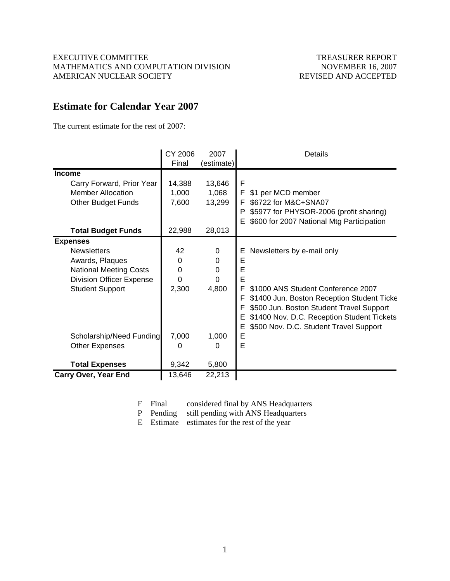## **Estimate for Calendar Year 2007**

The current estimate for the rest of 2007:

|                                 | CY 2006  | 2007       | <b>Details</b>                                  |
|---------------------------------|----------|------------|-------------------------------------------------|
|                                 | Final    | (estimate) |                                                 |
| <b>Income</b>                   |          |            |                                                 |
| Carry Forward, Prior Year       | 14,388   | 13,646     | F                                               |
| <b>Member Allocation</b>        | 1,000    | 1,068      | F<br>\$1 per MCD member                         |
| <b>Other Budget Funds</b>       | 7,600    | 13,299     | \$6722 for M&C+SNA07<br>F                       |
|                                 |          |            | \$5977 for PHYSOR-2006 (profit sharing)<br>P    |
|                                 |          |            | \$600 for 2007 National Mtg Participation<br>E. |
| <b>Total Budget Funds</b>       | 22,988   | 28,013     |                                                 |
| <b>Expenses</b>                 |          |            |                                                 |
| <b>Newsletters</b>              | 42       | 0          | Newsletters by e-mail only<br>Ε                 |
| Awards, Plaques                 | $\Omega$ | $\Omega$   | E                                               |
| <b>National Meeting Costs</b>   | $\Omega$ | $\Omega$   | E                                               |
| <b>Division Officer Expense</b> | $\Omega$ | $\Omega$   | E                                               |
| <b>Student Support</b>          | 2,300    | 4,800      | F.<br>\$1000 ANS Student Conference 2007        |
|                                 |          |            | \$1400 Jun. Boston Reception Student Ticke<br>F |
|                                 |          |            | \$500 Jun. Boston Student Travel Support<br>F   |
|                                 |          |            | \$1400 Nov. D.C. Reception Student Tickets<br>Е |
|                                 |          |            | \$500 Nov. D.C. Student Travel Support<br>Е     |
| Scholarship/Need Funding        | 7,000    | 1,000      | E                                               |
| <b>Other Expenses</b>           | 0        | 0          | E                                               |
|                                 |          |            |                                                 |
| <b>Total Expenses</b>           | 9,342    | 5,800      |                                                 |
| <b>Carry Over, Year End</b>     | 13,646   | 22,213     |                                                 |

- F Final considered final by ANS Headquarters
- P Pending still pending with ANS Headquarters
- E Estimate estimates for the rest of the year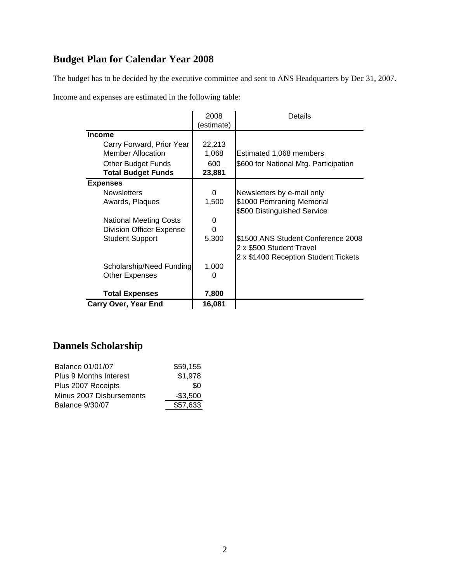# **Budget Plan for Calendar Year 2008**

The budget has to be decided by the executive committee and sent to ANS Headquarters by Dec 31, 2007.

Income and expenses are estimated in the following table:

|                                 | 2008<br>(estimate) | Details                               |
|---------------------------------|--------------------|---------------------------------------|
| <b>Income</b>                   |                    |                                       |
| Carry Forward, Prior Year       | 22,213             |                                       |
| <b>Member Allocation</b>        | 1,068              | Estimated 1,068 members               |
| <b>Other Budget Funds</b>       | 600                | \$600 for National Mtg. Participation |
| <b>Total Budget Funds</b>       | 23,881             |                                       |
| <b>Expenses</b>                 |                    |                                       |
| <b>Newsletters</b>              | 0                  | Newsletters by e-mail only            |
| Awards, Plaques                 | 1,500              | \$1000 Pomraning Memorial             |
|                                 |                    | \$500 Distinguished Service           |
| <b>National Meeting Costs</b>   | 0                  |                                       |
| <b>Division Officer Expense</b> | 0                  |                                       |
| <b>Student Support</b>          | 5,300              | \$1500 ANS Student Conference 2008    |
|                                 |                    | 2 x \$500 Student Travel              |
|                                 |                    | 2 x \$1400 Reception Student Tickets  |
| Scholarship/Need Funding        | 1,000              |                                       |
| <b>Other Expenses</b>           | 0                  |                                       |
|                                 |                    |                                       |
| <b>Total Expenses</b>           | 7,800              |                                       |
| <b>Carry Over, Year End</b>     | 16,081             |                                       |

## **Dannels Scholarship**

| <b>Balance 01/01/07</b>       | \$59,155    |
|-------------------------------|-------------|
| <b>Plus 9 Months Interest</b> | \$1,978     |
| Plus 2007 Receipts            | \$O         |
| Minus 2007 Disbursements      | $-$ \$3,500 |
| <b>Balance 9/30/07</b>        | \$57,633    |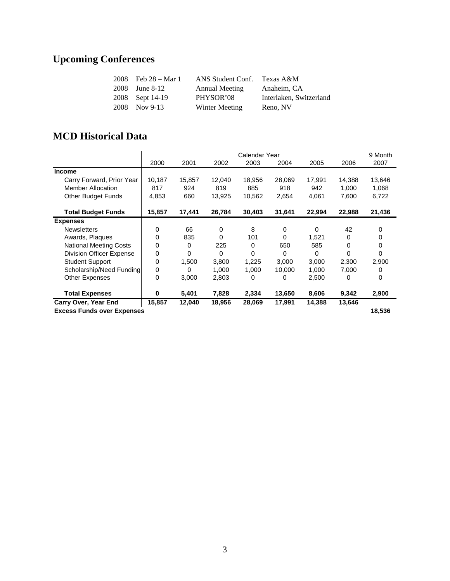# **Upcoming Conferences**

| 2008 | Feb 28 – Mar 1  | ANS Student Conf.     | Texas A&M               |
|------|-----------------|-----------------------|-------------------------|
| 2008 | June 8-12       | <b>Annual Meeting</b> | Anaheim. CA             |
|      | 2008 Sept 14-19 | PHYSOR'08             | Interlaken, Switzerland |
|      | 2008 Nov 9-13   | Winter Meeting        | Reno, NV                |

## **MCD Historical Data**

|                                   | 2000     | 2001   | 2002        | Calendar Year<br>2003 | 2004     | 2005     | 2006   | 9 Month<br>2007 |
|-----------------------------------|----------|--------|-------------|-----------------------|----------|----------|--------|-----------------|
| <b>Income</b>                     |          |        |             |                       |          |          |        |                 |
| Carry Forward, Prior Year         | 10,187   | 15,857 | 12,040      | 18,956                | 28,069   | 17,991   | 14,388 | 13,646          |
| <b>Member Allocation</b>          | 817      | 924    | 819         | 885                   | 918      | 942      | 1,000  | 1,068           |
| <b>Other Budget Funds</b>         | 4,853    | 660    | 13,925      | 10,562                | 2,654    | 4,061    | 7,600  | 6,722           |
| <b>Total Budget Funds</b>         | 15,857   | 17,441 | 26,784      | 30,403                | 31,641   | 22,994   | 22,988 | 21,436          |
| <b>Expenses</b>                   |          |        |             |                       |          |          |        |                 |
| <b>Newsletters</b>                | 0        | 66     | $\mathbf 0$ | 8                     | 0        | $\Omega$ | 42     | 0               |
| Awards, Plaques                   | $\Omega$ | 835    | $\Omega$    | 101                   | $\Omega$ | 1.521    | 0      | 0               |
| <b>National Meeting Costs</b>     | 0        | 0      | 225         | $\Omega$              | 650      | 585      | 0      | 0               |
| <b>Division Officer Expense</b>   | 0        | 0      | $\Omega$    | 0                     | $\Omega$ | 0        | 0      | 0               |
| <b>Student Support</b>            | 0        | 1,500  | 3,800       | 1,225                 | 3,000    | 3,000    | 2,300  | 2,900           |
| Scholarship/Need Funding          | 0        | 0      | 1,000       | 1,000                 | 10,000   | 1,000    | 7,000  | 0               |
| <b>Other Expenses</b>             | 0        | 3,000  | 2,803       | 0                     | 0        | 2,500    | 0      | 0               |
| <b>Total Expenses</b>             | 0        | 5,401  | 7,828       | 2,334                 | 13,650   | 8,606    | 9,342  | 2,900           |
| <b>Carry Over, Year End</b>       | 15,857   | 12,040 | 18,956      | 28,069                | 17,991   | 14,388   | 13,646 |                 |
| <b>Excess Funds over Expenses</b> |          |        |             |                       |          | 18,536   |        |                 |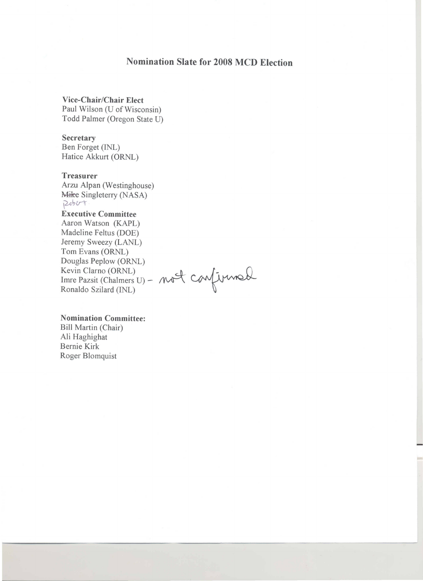# **Nomination Slate for 2008 MCD Election**

**Vice-Chair/Chair Elect** Paul Wilson (U of Wisconsin) Todd Palmer (Oregon State U)

**Secretary** 

Ben Forget (INL) Hatice Akkurt (ORNL)

#### **Treasurer**

Arzu Alpan (Westinghouse) Mike Singleterry (NASA) Robert

**Executive Committee** Aaron Watson (KAPL) Madeline Feltus (DOE)

Jeremy Sweezy (LANL) Tom Evans (ORNL) Douglas Peplow (ORNL) Kevin Clarno (ORNL)

Imre Pazsit (Chalmers U) - not confirmed

**Nomination Committee:** 

Bill Martin (Chair) Ali Haghighat Bernie Kirk Roger Blomquist